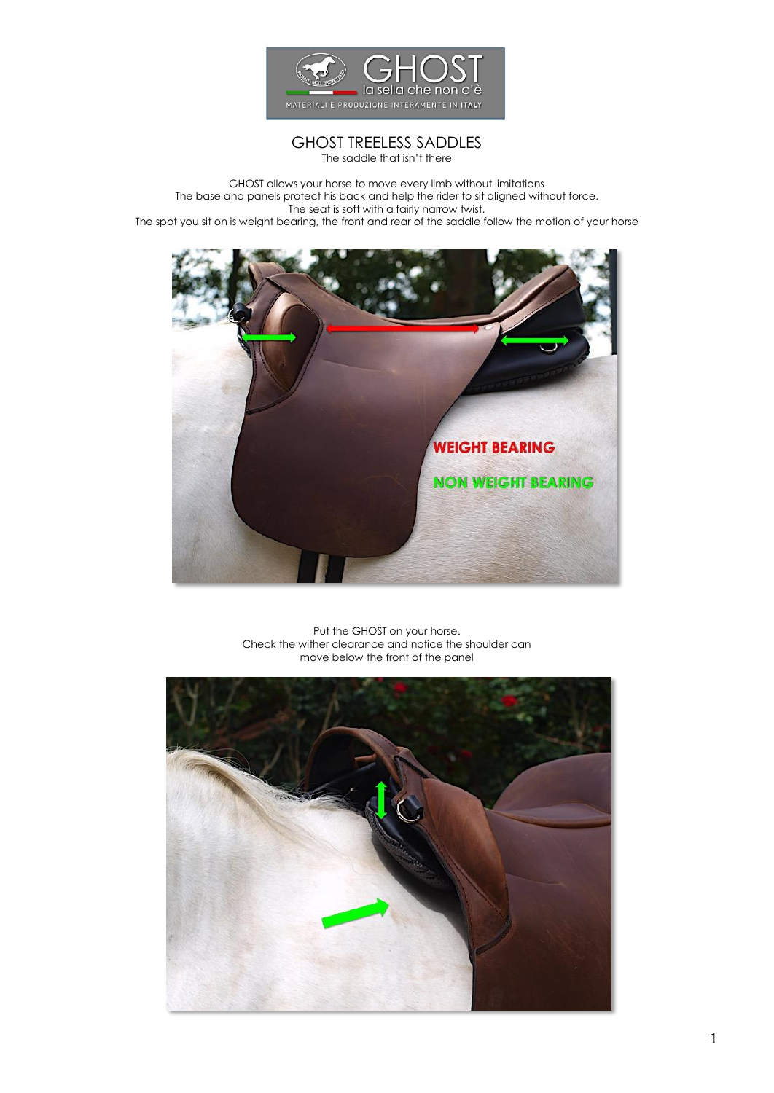

# GHOST TREELESS SADDLES

The saddle that isn't there

GHOST allows your horse to move every limb without limitations The base and panels protect his back and help the rider to sit aligned without force. The seat is soft with a fairly narrow twist. The spot you sit on is weight bearing, the front and rear of the saddle follow the motion of your horse



Put the GHOST on your horse. Check the wither clearance and notice the shoulder can move below the front of the panel

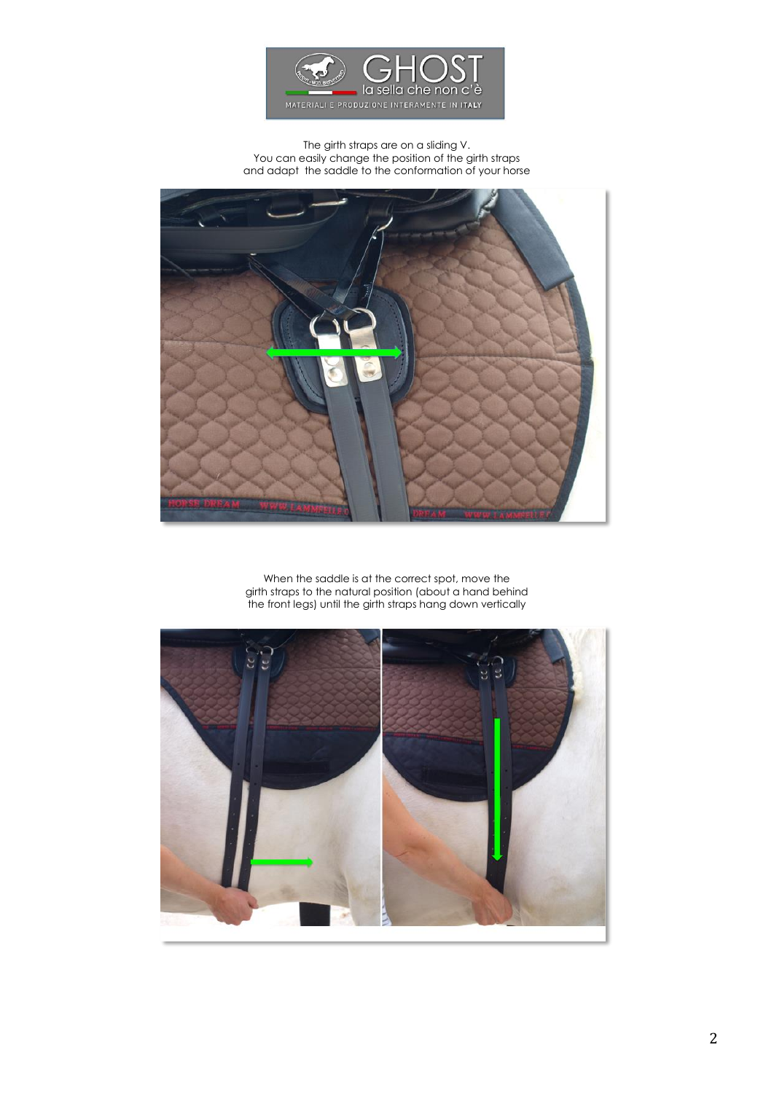

### The girth straps are on a sliding V. You can easily change the position of the girth straps and adapt the saddle to the conformation of your horse



When the saddle is at the correct spot, move the girth straps to the natural position (about a hand behind the front legs) until the girth straps hang down vertically

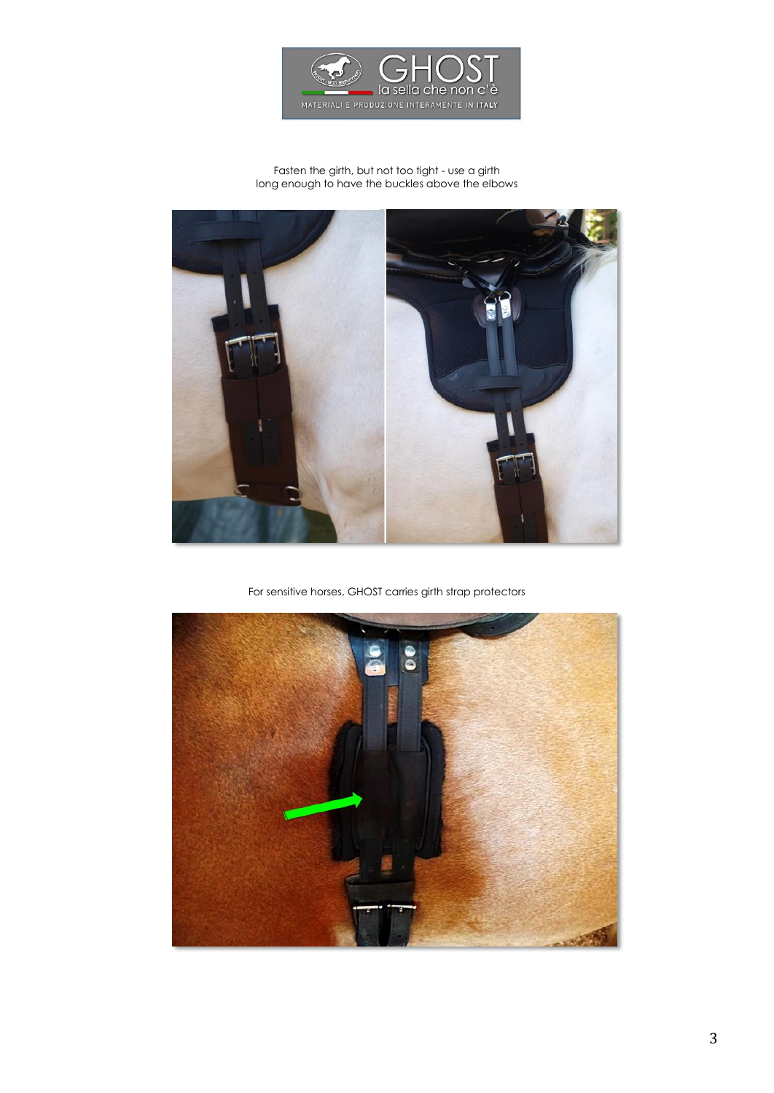

#### Fasten the girth, but not too tight - use a girth long enough to have the buckles above the elbows



For sensitive horses, GHOST carries girth strap protectors

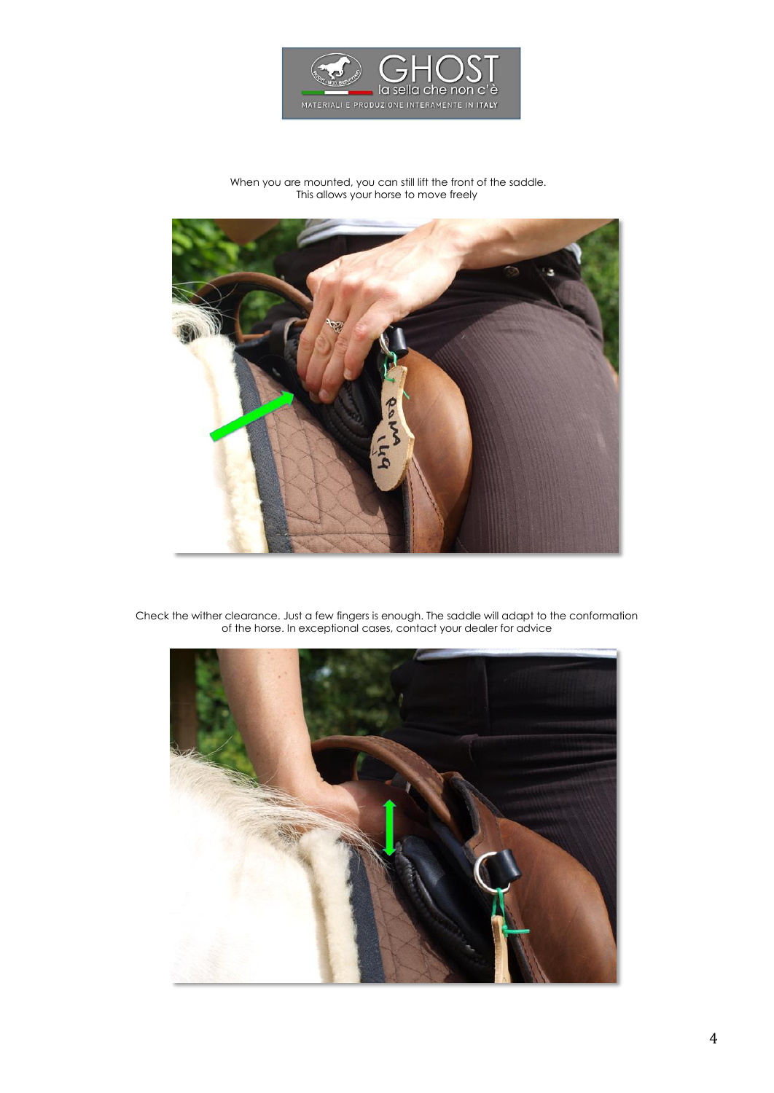

#### When you are mounted, you can still lift the front of the saddle. This allows your horse to move freely



Check the wither clearance. Just a few fingers is enough. The saddle will adapt to the conformation of the horse. In exceptional cases, contact your dealer for advice

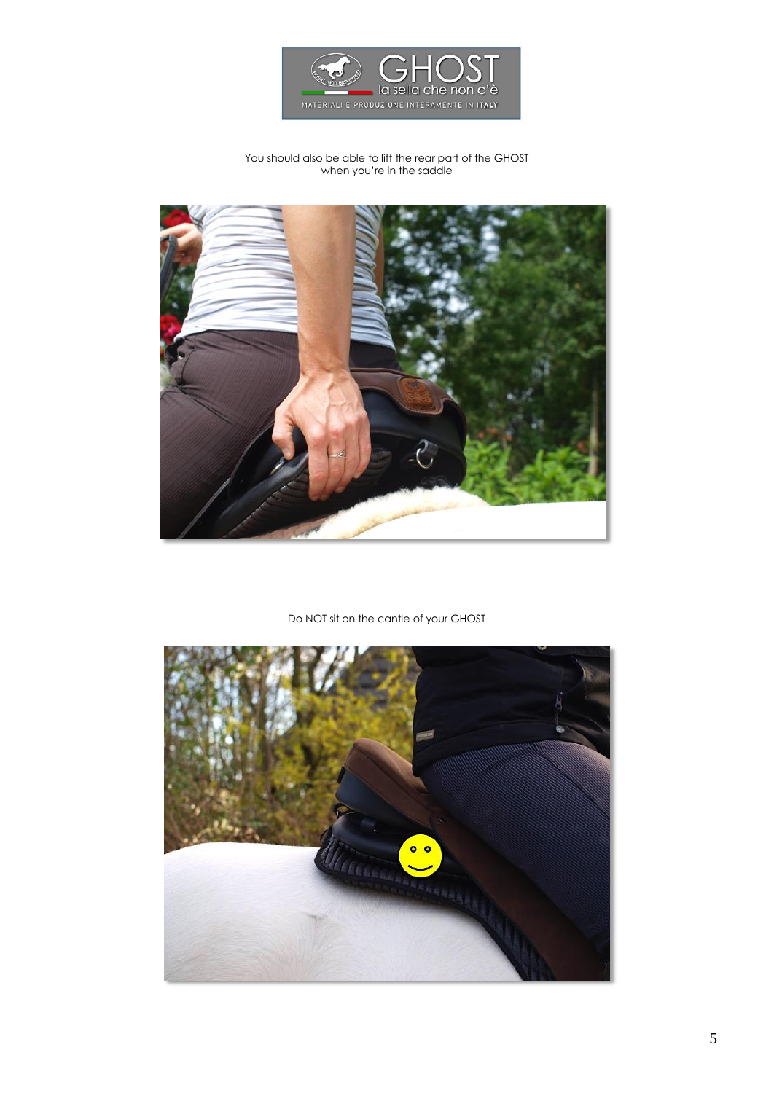

## You should also be able to lift the rear part of the GHOST when you're in the saddle



## Do NOT sit on the cantle of your GHOST

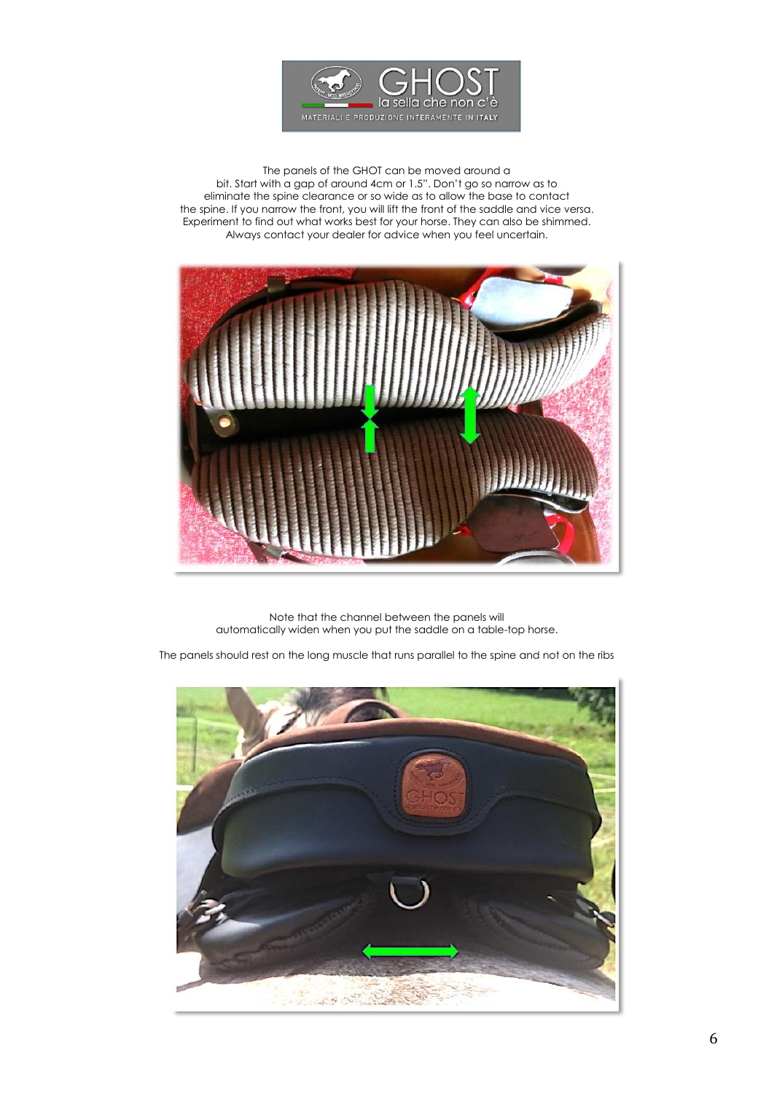

The panels of the GHOT can be moved around a bit. Start with a gap of around 4cm or 1.5". Don't go so narrow as to eliminate the spine clearance or so wide as to allow the base to contact the spine. If you narrow the front, you will lift the front of the saddle and vice versa. Experiment to find out what works best for your horse. They can also be shimmed. Always contact your dealer for advice when you feel uncertain.



Note that the channel between the panels will automatically widen when you put the saddle on a table-top horse.

The panels should rest on the long muscle that runs parallel to the spine and not on the ribs

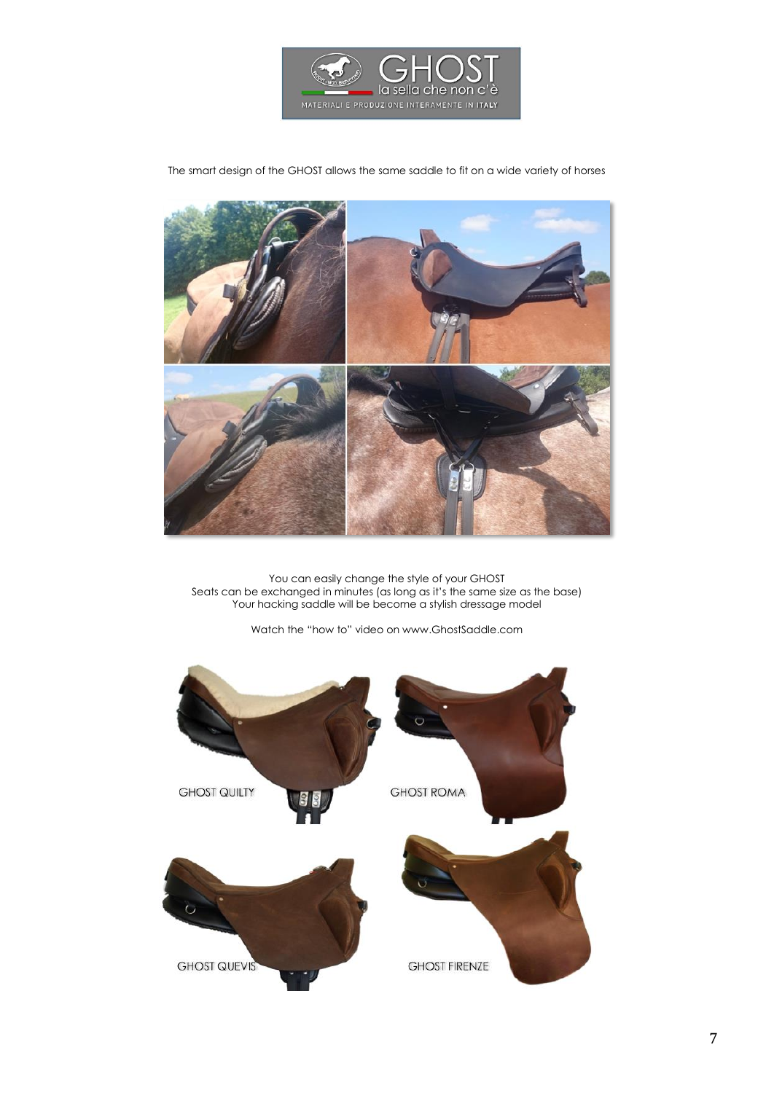

The smart design of the GHOST allows the same saddle to fit on a wide variety of horses



You can easily change the style of your GHOST Seats can be exchanged in minutes (as long as it's the same size as the base) Your hacking saddle will be become a stylish dressage model

Watch the "how to" video on www.GhostSaddle.com